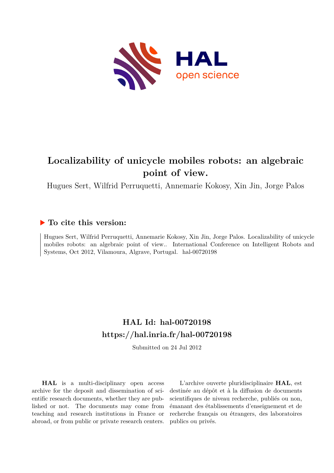

# **Localizability of unicycle mobiles robots: an algebraic point of view.**

Hugues Sert, Wilfrid Perruquetti, Annemarie Kokosy, Xin Jin, Jorge Palos

# **To cite this version:**

Hugues Sert, Wilfrid Perruquetti, Annemarie Kokosy, Xin Jin, Jorge Palos. Localizability of unicycle mobiles robots: an algebraic point of view.. International Conference on Intelligent Robots and Systems, Oct 2012, Vilamoura, Algrave, Portugal. hal-00720198

# **HAL Id: hal-00720198 <https://hal.inria.fr/hal-00720198>**

Submitted on 24 Jul 2012

**HAL** is a multi-disciplinary open access archive for the deposit and dissemination of scientific research documents, whether they are published or not. The documents may come from teaching and research institutions in France or abroad, or from public or private research centers.

L'archive ouverte pluridisciplinaire **HAL**, est destinée au dépôt et à la diffusion de documents scientifiques de niveau recherche, publiés ou non, émanant des établissements d'enseignement et de recherche français ou étrangers, des laboratoires publics ou privés.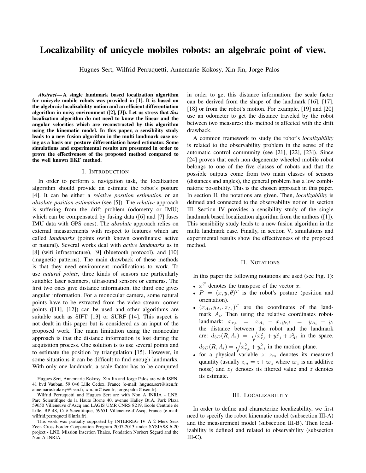# **Localizability of unicycle mobiles robots: an algebraic point of view.**

Hugues Sert, Wilfrid Perruquetti, Annemarie Kokosy, Xin Jin, Jorge Palos

*Abstract***— A single landmark based localization algorithm for unicycle mobile robots was provided in [1]. It is based on the algebraic localizability notion and an efficient differentiation algorithm in noisy environment ([2], [3]). Let us stress that** *this* **localization algorithm do not need to know the linear and the angular velocities which are reconstructed by this algorithm using the kinematic model. In this paper, a sensibility study leads to a new fusion algorithm in the multi landmark case using as a basis our posture differentiation based estimator. Some simulations and experimental results are presented in order to prove the effectiveness of the proposed method compared to the well known EKF method.**

#### I. INTRODUCTION

In order to perform a navigation task, the localization algorithm should provide an estimate the robot's posture [4]. It can be either a *relative position estimation* or an *absolute position estimation* (see [5]). The *relative* approach is suffering from the drift problem (odometry or IMU) which can be compensated by fusing data ([6] and [7] fuses IMU data with GPS ones). The *absolute* approach relies on external measurements with respect to features which are called *landmarks* (points owith known coordinates: active or natural). Several works deal with *active landmarks* as in [8] (wifi infrastructure), [9] (bluetooth protocol), and [10] (magnetic patterns). The main drawback of these methods is that they need environment modifications to work. To use *natural points*, three kinds of sensors are particularly suitable: laser scanners, ultrasound sensors or cameras. The first two ones give distance information, the third one gives angular information. For a monocular camera, some natural points have to be extracted from the video stream: corner points ([11], [12]) can be used and other algorithms are suitable such as SIFT [13] or SURF [14]. This aspect is not dealt in this paper but is considered as an input of the proposed work. The main limitation using the monocular approach is that the distance information is lost during the acquisition process. One solution is to use several points and to estimate the position by triangulation [15]. However, in some situations it can be difficult to find enough landmarks. With only one landmark, a scale factor has to be computed

Hugues Sert, Annemarie Kokosy, Xin Jin and Jorge Palos are with ISEN, 41 bvd Vauban, 59 046 Lille Cedex, France (e-mail: hugues.sert@isen.fr, annemarie.kokosy@isen.fr, xin.jin@isen.fr, jorge.palos@isen.fr).

Wilfrid Perruquetti and Hugues Sert are with Non A INRIA - LNE, Parc Scientifique de la Haute Borne 40, avenue Halley Bt.A, Park Plaza 59650 Villeneuve d'Ascq and LAGIS UMR CNRS 8219, Ecole Centrale de Lille, BP 48, Cité Scientifique, 59651 Villeneuve-d'Ascq, France (e-mail: wilfrid.perruquetti@inria.fr).

This work was partially supported by INTERREG IV A 2 Mers Seas Zeen Cross-border Cooperation Program 2007-2013 under SYSIASS 6-20 project - LNE, Mission Insertion Thales, Fondation Norbert Ségard and the Non-A INRIA.

in order to get this distance information: the scale factor can be derived from the shape of the landmark [16], [17], [18] or from the robot's motion. For example, [19] and [20] use an odometer to get the distance traveled by the robot between two measures: this method is affected with the drift drawback.

A common framework to study the robot's *localizability* is related to the observability problem in the sense of the automatic control community (see [21], [22], [23]). Since [24] proves that each non degenerate wheeled mobile robot belongs to one of the five classes of robots and that the possible outputs come from two main classes of sensors (distances and angles), the general problem has a low combinatoric possibility. This is the chosen approach in this paper. In section II, the notations are given. Then, *localizability* is defined and connected to the observability notion in section III. Section IV provides a sensibility study of the single landmark based localization algorithm from the authors ([1]). This sensibility study leads to a new fusion algorithm in the multi landmark case. Finally, in section V, simulations and experimental results show the effectiveness of the proposed method.

#### II. NOTATIONS

In this paper the following notations are used (see Fig. 1):

- $x^T$  denotes the transpose of the vector x.
- $P = (x, y, \theta)^T$  is the robot's posture (position and orientation).
- $(x_{A_i}, y_{A_i}, z_{A_i})^T$  are the coordinates of the landmark  $A_i$ . Then using the relative coordinates robotlandmark:  $x_{r,i} = x_{A_i} - x, y_{r,i} = y_{A_i} - y,$ the distance between the robot and the landmark are:  $d_{3D}(R, A_i) = \sqrt{x_{r,i}^2 + y_{r,i}^2 + z_{Ai}^2}$  in the space,  $d_{2D}(R, A_i) = \sqrt{x_{r,i}^2 + y_{r,i}^2}$  in the motion plane.
- for a physical variable  $z: z_m$  denotes its measured quantity (usually  $z_m = z + \varpi_z$  where  $\varpi_z$  is an additive noise) and  $z_f$  denotes its filtered value and  $\hat{z}$  denotes its estimate.

#### III. LOCALIZABILITY

In order to define and characterize localizability, we first need to specify the robot kinematic model (subsection III-A) and the measurement model (subsection III-B). Then localizability is defined and related to observability (subsection  $III-C$ ).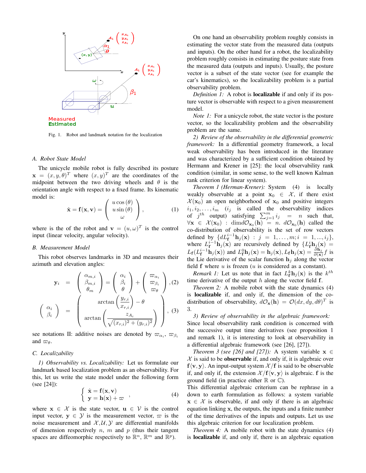

Fig. 1. Robot and landmark notation for the localization

#### *A. Robot State Model*

The unicycle mobile robot is fully described its posture  $\mathbf{x} = (x, y, \theta)^T$  where  $(x, y)^T$  are the coordinates of the midpoint between the two driving wheels and  $\theta$  is the orientation angle with respect to a fixed frame. Its kinematic model is:

$$
\dot{\mathbf{x}} = \mathbf{f}(\mathbf{x}, \mathbf{v}) = \begin{pmatrix} u \cos(\theta) \\ u \sin(\theta) \\ \omega \end{pmatrix}, \tag{1}
$$

where is the of the robot and  $\mathbf{v} = (u, \omega)^T$  is the control input (linear velocity, angular velocity).

#### *B. Measurement Model*

This robot observes landmarks in 3D and measures their azimuth and elevation angles:

$$
\mathbf{y}_{i} = \begin{pmatrix} \alpha_{m,i} \\ \beta_{m,i} \\ \theta_{m} \end{pmatrix} = \begin{pmatrix} \alpha_{i} \\ \beta_{i} \\ \theta \end{pmatrix} + \begin{pmatrix} \varpi_{\alpha_{i}} \\ \varpi_{\beta_{i}} \\ \varpi_{\theta} \end{pmatrix}, (2)
$$

$$
\begin{pmatrix} \alpha_{i} \\ \beta_{i} \end{pmatrix} = \begin{pmatrix} \arctan\left(\frac{y_{r,i}}{x_{r,i}}\right) - \theta \\ \arctan\left(\frac{z_{A_{i}}}{\sqrt{(x_{r,i})^{2} + (y_{r,i})^{2}}} \right) \end{pmatrix}, (3)
$$

see notations II: additive noises are denoted by  $\varpi_{\alpha_i}, \varpi_{\beta_i}$ and  $\varpi_{\theta}$ .

#### *C. Localizability*

*1) Observability vs. Localizability:* Let us formulate our landmark based localization problem as an observability. For this, let us write the state model under the following form (see [24]):

$$
\left\{ \begin{array}{l} \dot{\mathbf{x}} = \mathbf{f}(\mathbf{x}, \mathbf{v}) \\ \mathbf{y} = \mathbf{h}(\mathbf{x}) + \varpi \end{array} \right., \tag{4}
$$

where  $x \in \mathcal{X}$  is the state vector,  $u \in \mathcal{V}$  is the control input vector,  $y \in \mathcal{Y}$  is the measurement vector,  $\varpi$  is the noise measurement and  $X, U, Y$  are differential manifolds of dimension respectively  $n$ ,  $m$  and  $p$  (thus their tangent spaces are diffeomorphic respectively to  $\mathbb{R}^n$ ,  $\mathbb{R}^m$  and  $\mathbb{R}^p$ ).

On one hand an observability problem roughly consists in estimating the vector state from the measured data (outputs and inputs). On the other hand for a robot, the localizability problem roughly consists in estimating the posture state from the measured data (outputs and inputs). Usually, the posture vector is a subset of the state vector (see for example the car's kinematics), so the localizability problem is a partial observability problem.

*Definition 1:* A robot is **localizable** if and only if its posture vector is observable with respect to a given measurement model.

*Note 1:* For a unicycle robot, the state vector is the posture vector, so the localizability problem and the observability problem are the same.

*2) Review of the observability in the differential geometric framework:* In a differential geometry framework, a local weak observability has been introduced in the literature and was characterized by a sufficient condition obtained by Hermann and Krener in [25]: the local observability rank condition (similar, in some sense, to the well known Kalman rank criterion for linear system).

*Theorem 1 (Herman-Krener):* System (4) is locally weakly observable at a point  $x_0 \in \mathcal{X}$ , if there exist  $\mathcal{X}(\mathbf{x}_0)$  an open neighborhood of  $\mathbf{x}_0$  and positive integers  $i_1, i_2, \ldots, i_m$  (i<sub>j</sub> is called the observability indices of  $j^{th}$  output) satisfying  $\sum_{j=1}^{m} i_j = n$  such that,  $\forall x \in \mathcal{X}(x_0) : \text{dim} d\mathcal{O}_{x_0}(\mathbf{h}) = n. d\mathcal{O}_{x_0}(\mathbf{h})$  called the co-distribution of observability is the set of row vectors defined by  $\{dL_f^{i-1} \mathbf{h}_j(\mathbf{x}) : j = 1, ..., m; i = 1, ..., i_j\},\$ where  $L_f^{i-1}$ **h**<sub>j</sub>(**x**) are recursively defined by  ${L_f^i h_{j,k}(\mathbf{x}) =$  $L_f(L_f^{i-1} \mathbf{h}_j(\mathbf{x}))$  and  $L_f^0 \mathbf{h}_j(\mathbf{x}) = \mathbf{h}_j(\mathbf{x}), L_f \mathbf{h}_j(\mathbf{x}) = \frac{\partial \mathbf{h}_j}{\partial(\mathbf{x})} f$  is the Lie derivative of the scalar function  $h_j$  along the vector field  $f$  where  $u$  is frozen  $(u$  is considered as a constant).

*Remark 1:* Let us note that in fact  $L_f^k \mathbf{h}_j(\mathbf{x})$  is the  $k^{th}$ time derivative of the output  $h$  along the vector field  $f$ .

*Theorem 2:* A mobile robot with the state dynamics (4) is **localizable** if, and only if, the dimension of the codistribution of observability,  $d\mathcal{O}_{\mathbf{x}}(\mathbf{h}) = \mathcal{O}(dx, dy, d\theta)^T$  is 3.

*3) Review of observability in the algebraic framework:* Since local observability rank condition is concerned with the successive output time derivatives (see proposition 1 and remark 1), it is interesting to look at observability in a differential algebraic framework (see [26], [27]).

*Theorem 3 (see [26] and [27]):* A system variable  $x \in$  $X$  is said to be **observable** if, and only if, it is algebraic over  $f\langle v, y \rangle$ . An input-output system  $\mathcal{X}/f$  is said to be observable if, and only if, the extension  $\mathcal{X}/f\langle v, y \rangle$  is algebraic. f is the ground field (in practice either  $\mathbb R$  or  $\mathbb C$ ).

This differential algebraic criterium can be rephrase in a down to earth formulation as follows: a system variable  $x \in \mathcal{X}$  is observable, if and only if there is an algebraic equation linking x, the outputs, the inputs and a finite number of the time derivatives of the inputs and outputs. Let us use this algebraic criterion for our localization problem.

*Theorem 4:* A mobile robot with the state dynamics (4) is **localizable** if, and only if, there is an algebraic equation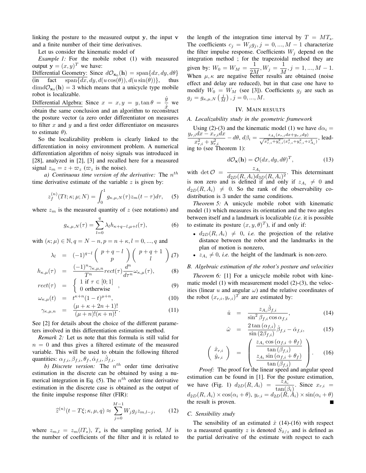linking the posture to the measured output y, the input v and a finite number of their time derivatives.

Let us consider the kinematic model of

*Example 1:* For the mobile robot (1) with measured output  $\mathbf{y} = (x, y)^T$  we have:

Differential Geometry: Since  $d\mathcal{O}_{\mathbf{x}_0}(\mathbf{h}) = \text{span}\{dx, dy, d\theta\}$ (in fact  $\text{span}\{dx, dy, d(u\cos(\theta)), d(u\sin(\theta))\},\}$  thus  $\dim d\mathcal{O}_{\mathbf{x}_0}(\mathbf{h}) = 3$  which means that a unicycle type mobile robot is localizable.

Differential Algebra: Since  $x = x, y = y, \tan \theta = \frac{y}{x}$  $\frac{\partial}{\partial x}$  we obtain the same conclusion and an algorithm to reconstruct the posture vector (a zero order differentiator on measures to filter  $x$  and  $y$  and a first order differentiator on measures to estimate  $\theta$ ).

So the localizability problem is clearly linked to the differentiation in noisy environment problem. A numerical differentiation algorithm of noisy signals was introduced in [28], analyzed in [2], [3] and recalled here for a measured signal  $z_m = z + \varpi_z$  ( $\varpi_z$  is the noise).

a) Continuous time version of the derivative: The  $n^{th}$ time derivative estimate of the variable  $z$  is given by:

$$
z_f^{(n)}(Tt;\kappa;\mu;N) = \int_0^1 g_{\kappa,\mu,N}(\tau) z_m(t-\tau) d\tau, \quad (5)
$$

where  $z_m$  is the measured quantity of z (see notations) and

$$
g_{\kappa,\mu,N}(\tau) = \sum_{l=0}^{q} \lambda_l h_{\kappa+q-l,\mu+l}(\tau), \tag{6}
$$

with  $(\kappa; \mu) \in \mathbb{N}, q = N - n, p = n + \kappa, l = 0, ..., q$  and

$$
\lambda_l = (-1)^{q-l} \begin{pmatrix} p+q-l \\ p \end{pmatrix} \begin{pmatrix} p+q+1 \\ l \end{pmatrix} (7)
$$
\n
$$
(-1)^n \gamma_{r+1} = d^n
$$

$$
h_{\kappa,\mu}(\tau) = \frac{(-1)^n \gamma_{\kappa,\mu,n}}{T^n} rect(\tau) \frac{d^n}{d\tau^n} \omega_{\kappa,\mu}(\tau), \tag{8}
$$

$$
rect(\tau) = \begin{cases} 1 \text{ if } \tau \in [0;1] \\ 0 \text{ ortherwise} \end{cases}, \qquad (9)
$$

$$
\omega_{\kappa,\mu}(t) = t^{\kappa+n} (1-t)^{\mu+n}, \qquad (10)
$$

$$
\gamma_{\kappa,\mu,n} = \frac{(\mu + \kappa + 2n + 1)!}{(\mu + n)!(\kappa + n)!}.
$$
\n(11)

See [2] for details about the choice of the different parameters involved in this differentiation estimation method.

*Remark 2:* Let us note that this formula is still valid for  $n = 0$  and thus gives a filtered estimate of the measured variable. This will be used to obtain the following filtered quantities:  $\alpha_{f,i}, \beta_{f,i}, \theta_f, \dot{\alpha}_{f,i}, \dot{\beta}_{f,i}.$ 

b) Discrete version: The  $n^{th}$  order time derivative estimation in the discrete can be obtained by using a numerical integration in Eq. (5). The  $n^{th}$  order time derivative estimation in the discrete case is obtained as the output of the finite impulse response filter (FIR):

$$
\widehat{z}^{(n)}(t - T\xi; \kappa, \mu, q) \approx \sum_{j=0}^{M-1} W_j g_j z_{m,l-j}, \qquad (12)
$$

where  $z_{m,l} = z_m(lT_s)$ ,  $T_s$  is the sampling period, M is the number of coefficients of the filter and it is related to the length of the integration time interval by  $T = MT_s$ . The coefficients  $c_j = W_j g_j$ ,  $j = 0, ..., M - 1$  characterize the filter impulse response. Coefficients  $W_j$  depend on the integration method ; for the trapezoidal method they are given by:  $W_0 = W_M = \frac{1}{2M}$  $\frac{1}{2M}, W_j = \frac{1}{M}$  $\frac{1}{M}, j = 1, ..., M - 1.$ When  $\mu, \kappa$  are negative better results are obtained (noise effect and delay are reduced), but in that case one have to modify  $W_0 = W_M$  (see [3]). Coefficients  $g_j$  are such as  $g_j = g_{\kappa,\mu,N}\left(\frac{j}{M}\right), j = 0, ..., M.$ 

## IV. MAIN RESULTS

## *A. Localizability study in the geometric framework*

Using (2)-(3) and the kinematic model (1) we have  $d\alpha_i =$  $y_{r,i}dx - x_{r,i}dx$  $\frac{d^2x - x_{r,i}ax}{dx^2 + y_{r,i}^2} - d\theta, d\beta_i = \frac{z_{A_i}(x_{r,i}dx + y_{r,i}dy)}{\sqrt{x_{r,i}^2 + y_{r,i}^2(x_{r,i}^2 + y_{r,i}^2 + z_{A_i}^2)}},$ leading to (see Theorem 1):

$$
d\mathcal{O}_{\mathbf{x}}(\mathbf{h}) = \mathcal{O}(dx, dy, d\theta)^{T},
$$
\n(13)

with det  $\mathcal{O} = \frac{z_{A_i}}{d_{\text{on}}(R \ A_i) d_{\text{on}}}$  $\frac{\overline{A_i}}{d_{2D}(R, A_i)d_{3D}(R, A_i)^2}$ . This determinant is non zero and is defined if and only if  $z_{A_i} \neq 0$  and  $d_{2D}(R, A_i) \neq 0$ . So the rank of the observability codistribution is 3 under the same conditions.

*Theorem 5:* A unicycle mobile robot with kinematic model (1) which measures its orientation and the two angles between itself and a landmark is localizable (*i.e.* it is possible to estimate its posture  $(x, y, \theta)^T$ ), if and only if:

- $d_{2D}(R, A_i) \neq 0$ , *i.e.* the projection of the relative distance between the robot and the landmarks in the plan of motion is nonzero,
- $z_{A_i} \neq 0$ , *i.e.* the height of the landmark is non-zero.

# *B. Algebraic estimation of the robot's posture and velocities*

*Theorem 6:* [1] For a unicycle mobile robot with kinematic model (1) with measurement model (2)-(3), the velocities (linear u and angular  $\omega$ ) and the relative coordinates of the robot  $(x_{r,i}, y_{r,i})^T$  are are estimated by:

$$
\hat{u} = \frac{z_{A_i} \dot{\beta}_{f,i}}{\sin^2 \beta_{f,i} \cos \alpha_{f,i}},
$$
\n(14)

$$
\hat{\omega} = \frac{2 \tan(\alpha_{f,i})}{\sin(2\beta_{f,i})} \dot{\beta}_{f,i} - \dot{\alpha}_{f,i}, \quad (15)
$$

$$
\begin{pmatrix}\n\hat{x}_{r,i} \\
\hat{y}_{r,i}\n\end{pmatrix} = \begin{pmatrix}\n\frac{z_{A_i} \cos(\alpha_{f,i} + \theta_f)}{\tan(\beta_{f,i})} \\
\frac{z_{A_i} \sin(\alpha_{f,i} + \theta_f)}{\tan(\beta_{f,i})}\n\end{pmatrix}.
$$
\n(16)

*Proof:* The proof for the linear speed and angular speed estimation can be found in [1]. For the posture estimation,<br>we have (Fig. 1)  $d_{2D}(R, A_i) = \frac{z_{A_i}}{\tan(\beta_i)}$ . Since  $x_{r,i} =$  $d_{2D}(R, A_i) \times \cos(\alpha_i + \theta), y_{r,i} = d_{2D}(\tilde{R}, A_i) \times \sin(\alpha_i + \theta)$ the result is proven.

#### *C. Sensibility study*

The sensibility of an estimated  $\hat{x}$  (14)-(16) with respect to a measured quantity z is denoted  $S_{\hat{x}/z}$  and is defined as the partial derivative of the estimate with respect to each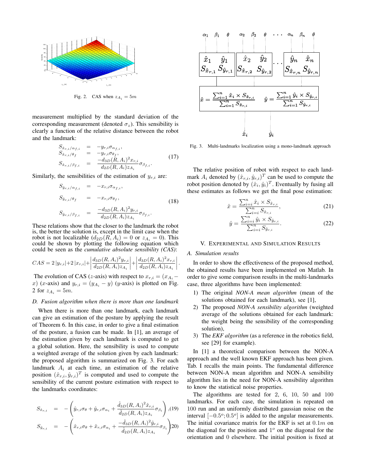

Fig. 2. CAS when  $z_{A_i} = 5m$ 

measurement multiplied by the standard deviation of the corresponding measurement (denoted  $\sigma_z$ ). This sensibility is clearly a function of the relative distance between the robot and the landmark:

$$
S_{\hat{x}_{r,i}/\alpha_{f,i}} = -y_{r,i}\sigma_{\alpha_{f,i}},
$$
  
\n
$$
S_{\hat{x}_{r,i}/\theta_{f}} = -y_{r,i}\sigma_{\theta_{f}},
$$
  
\n
$$
S_{\hat{x}_{r,i}/\beta_{f,i}} = \frac{-d_{3D}(R, A_{i})^{2}x_{r,i}}{d_{2D}(R, A_{i})z_{A_{i}}}\sigma_{\beta_{f,i}}.
$$
\n(17)

Similarly, the sensibilities of the estimation of  $y_{r,i}$  are:

$$
S_{\hat{y}_{r,i}/\alpha_{f,i}} = -x_{r,i}\sigma_{\alpha_{f,i}},
$$
  
\n
$$
S_{\hat{y}_{r,i}/\theta_f} = -x_{r,i}\sigma_{\theta_f},
$$
  
\n
$$
S_{\hat{y}_{r,i}/\beta_{f,i}} = \frac{-d_{3D}(R, A_i)^2 y_{r,i}}{d_{2D}(R, A_i) z_{A_i}} \sigma_{\beta_{f,i}}.
$$
\n(18)

These relations show that the closer to the landmark the robot is, the better the solution is, except in the limit case when the robot is not localizable  $(d_{2D}(R, A_i) = 0$  or  $z_{A_i} = 0$ ). This could be shown by plotting the following equation which could be seen as the *cumulative absolute sensibility (CAS)*:

$$
CAS = 2|y_{r,i}| + 2|x_{r,i}| + \left|\frac{d_{3D}(R, A_i)^2 y_{r,i}}{d_{2D}(R, A_i) z_{A_i}}\right| + \left|\frac{d_{3D}(R, A_i)^2 x_{r,i}}{d_{2D}(R, A_i) z_{A_i}}\right|.
$$

The evolution of CAS (z-axis) with respect to  $x_{r,i} = (x_{A_i}$ x) (x-axis) and  $y_{r,i} = (y_{A_i} - y)$  (y-axis) is plotted on Fig. 2 for  $z_{A_i} = 5m$ .

# *D. Fusion algorithm when there is more than one landmark*

When there is more than one landmark, each landmark can give an estimation of the posture by applying the result of Theorem 6. In this case, in order to give a final estimation of the posture, a fusion can be made. In [1], an average of the estimation given by each landmark is computed to get a global solution. Here, the sensibility is used to compute a weighted average of the solution given by each landmark: the proposed algorithm is summarized on Fig. 3. For each landmark  $A_i$  at each time, an estimation of the relative position  $(\hat{x}_{r,i}, \hat{y}_{r,i})^T$  is computed and used to compute the sensibility of the current posture estimation with respect to the landmarks coordinates:

$$
S_{\hat{x}_{r,i}} = -\left(\hat{y}_{r,i}\sigma_{\theta} + \hat{y}_{r,i}\sigma_{\alpha_i} + \frac{\hat{d}_{3D}(R, A_i)^2 \hat{x}_{r,i}}{\hat{d}_{2D}(R, A_i) z_{A_i}} \sigma_{\beta_i}\right), (19)
$$
  

$$
S_{\hat{y}_{r,i}} = -\left(\hat{x}_{r,i}\sigma_{\theta} + \hat{x}_{r,i}\sigma_{\alpha_i} + \frac{-\hat{d}_{3D}(R, A_i)^2 \hat{y}_{r,i}}{\hat{d}_{2D}(R, A_i) z_{A_i}} \sigma_{\beta_i}\right)
$$
20)



Fig. 3. Multi-landmarks localization using a mono-landmark approach

The relative position of robot with respect to each landmark  $A_i$  denoted by  $(\hat{x}_{r,i}, \hat{y}_{r,i})^T$  can be used to compute the robot position denoted by  $(\hat{x}_i, \hat{y}_i)^T$ . Eventually by fusing all these estimates as follows we get the final pose estimation:

$$
\hat{x} = \frac{\sum_{i=i}^{n} \hat{x}_i \times S_{\hat{x}_{r,i}}}{\sum_{i=i}^{n} S_{\hat{x}_{r,i}}},
$$
\n(21)

$$
\hat{y} = \frac{\sum_{i=i}^{n} \hat{y}_i \times S_{\hat{y}_{r,i}}}{\sum_{i=i}^{n} S_{\hat{y}_{r,i}}}.
$$
\n(22)

#### V. EXPERIMENTAL AND SIMULATION RESULTS

#### *A. Simulation results*

In order to show the effectiveness of the proposed method, the obtained results have been implemented on Matlab. In order to give some comparison results in the multi-landmarks case, three algorithms have been implemented:

- 1) The original *NON-A mean algorithm* (mean of the solutions obtained for each landmark), see [1],
- 2) The proposed *NON-A sensibility algorithm* (weighted average of the solutions obtained for each landmark: the weight being the sensibility of the corresponding solution),
- 3) The *EKF algorithm* (as a reference in the robotics field, see [29] for example).

In [1] a theoretical comparison between the NON-A approach and the well known EKF approach has been given. Tab. I recalls the main points. The fundamental difference between NON-A mean algorithm and NON-A sensibility algorithm lies in the need for NON-A sensibility algorithm to know the statistical noise properties.

The algorithms are tested for 2, 6, 10, 50 and 100 landmarks. For each case, the simulation is repeated on 100 run and an uniformly distributed gaussian noise on the interval  $[-0.5^\circ, 0.5^\circ]$  is added to the angular measurements. The initial covariance matrix for the EKF is set at  $0.1m$  on the diagonal for the position and  $1^\circ$  on the diagonal for the orientation and 0 elsewhere. The initial position is fixed at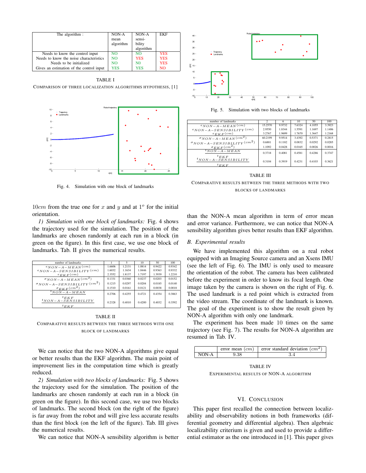| The algorithm :                          | NON-A          | NON-A          | <b>EKF</b> |
|------------------------------------------|----------------|----------------|------------|
|                                          | mean           | sensi-         |            |
|                                          | algorithm      | bility         |            |
|                                          |                | algorithm      |            |
| Needs to know the control input          | N <sub>O</sub> | N <sub>O</sub> | <b>YES</b> |
| Needs to know the noise characteristics  | N <sub>O</sub> | <b>YES</b>     | <b>YES</b> |
| Needs to be initialized                  | <b>NO</b>      | N <sub>0</sub> | <b>YES</b> |
| Gives an estimation of the control input | <b>YES</b>     | <b>YES</b>     | NO.        |

TABLE I

COMPARISON OF THREE LOCALIZATION ALGORITHMS HYPOTHESIS, [1]



Fig. 4. Simulation with one block of landmarks

 $10cm$  from the true one for x and y and at  $1^{\circ}$  for the initial orientation.

*1) Simulation with one block of landmarks:* Fig. 4 shows the trajectory used for the simulation. The position of the landmarks are chosen randomly at each run in a block (in green on the figure). In this first case, we use one block of landmarks. Tab. II gives the numerical results.

| number of landmarks                               |        |        | 10     | 50     | 100    |
|---------------------------------------------------|--------|--------|--------|--------|--------|
| $e_{NON-A-MEAN}(cm)$                              | 1.6606 | 1.2131 | 1.0814 | 0.9422 | 0.9342 |
| $e_{NON-A-SENSIBILITY}(cm)$                       | 1.6032 | 1.1634 | 1.0446 | 0.9363 | 0.9332 |
| $e_{EKF}(cm)$                                     | 2.3552 | 1.8137 | 1.7197 | 1.3939 | 1.2210 |
| $\sigma_{NON-A-MEAN}(cm^2)$                       | 0.1331 | 0.0360 | 0.0237 | 0.0203 | 0.0152 |
| $\sigma_{NON-A-SENSIBILITY}(cm^2)$                | 0.1215 | 0.0297 | 0.0204 | 0.0185 | 0.0140 |
| $\sigma_{EKF}(cm^2)$                              | 0.1510 | 0.0161 | 0.0121 | 0.0038 | 0.0018 |
| $t_{NON-A-MEAN}$                                  | 0.2706 | 0.4255 | 0.4721 | 0.4354 | 0.3863 |
| ${}^tEKF$<br>$t_{NON-A-SENSIBILITY}$<br>$t_{EKF}$ | 0.2328 | 0.4010 | 0.4200 | 0.4032 | 0.3592 |

## TABLE II COMPARATIVE RESULTS BETWEEN THE THREE METHODS WITH ONE BLOCK OF LANDMARKS

We can notice that the two NON-A algorithms give equal or better results than the EKF algorithm. The main point of improvement lies in the computation time which is greatly reduced.

*2) Simulation with two blocks of landmarks:* Fig. 5 shows the trajectory used for the simulation. The position of the landmarks are chosen randomly at each run in a block (in green on the figure). In this second case, we use two blocks of landmarks. The second block (on the right of the figure) is far away from the robot and will give less accurate results than the first block (on the left of the figure). Tab. III gives the numerical results.

We can notice that NON-A sensibility algorithm is better



Fig. 5. Simulation with two blocks of landmarks

| number of landmarks                                 | $\mathcal{D}$ | 6      | 10     | 50     | 100    |
|-----------------------------------------------------|---------------|--------|--------|--------|--------|
| $e_{NON-A-MEAN}(cm)$                                | 15.2570       | 9.9732 | 7.6324 | 4.1055 | 3.3923 |
| $e_{NON-A-SENSIBILITY}(cm)$                         | 2.9550        | 1.8344 | 1.5591 | 1.1697 | 1.1406 |
| $e_{EKF}(cm)$                                       | 3.2767        | 1.9699 | 1.7670 | 1.3647 | 1.2168 |
| $\sigma_{NON-A-MEAN}(cm^2)$                         | 60.2199       | 9.9514 | 3.4392 | 0.5371 | 0.2815 |
| $\sigma_{NON-A-SENSIBILITY}(cm^2)$                  | 0.6881        | 0.1182 | 0.0832 | 0.0292 | 0.0285 |
| $\sigma_{EKF}(cm^2)$                                | 1.1092        | 0.0428 | 0.0165 | 0.0026 | 0.0016 |
| ${}^tNON-A-MEAN$                                    | 0.3718        | 0.4081 | 0.4581 | 0.4286 | 0.3747 |
| ${}^tEKF$<br>$t_{NON-A-SENSIBILITY}$<br>$^tEKK$ $F$ | 0.3104        | 0.3919 | 0.4231 | 0.4103 | 0.3621 |

TABLE III COMPARATIVE RESULTS BETWEEN THE THREE METHODS WITH TWO BLOCKS OF LANDMARKS

than the NON-A mean algorithm in term of error mean and error variance. Furthermore, we can notice that NON-A sensibility algorithm gives better results than EKF algorithm.

### *B. Experimental results*

We have implemented this algorithm on a real robot equipped with an Imaging Source camera and an Xsens IMU (see the left of Fig. 6). The IMU is only used to measure the orientation of the robot. The camera has been calibrated before the experiment in order to know its focal length. One image taken by the camera is shown on the right of Fig. 6. The used landmark is a red point which is extracted from the video stream. The coordinate of the landmark is known. The goal of the experiment is to show the result given by NON-A algorithm with only one landmark.

The experiment has been made 10 times on the same trajectory (see Fig. 7). The results for NON-A algorithm are resumed in Tab. IV.

|       | error mean $(cm)$ | error standard deviation $\left( cm^2 \right)$ |
|-------|-------------------|------------------------------------------------|
| NON-A |                   |                                                |

TABLE IV EXPERIMENTAL RESULTS OF NON-A ALGORITHM

#### VI. CONCLUSION

This paper first recalled the connection between localizability and observability notions in both frameworks (differential geometry and differential algebra). Then algebraic localizability criterium is given and used to provide a differential estimator as the one introduced in [1]. This paper gives